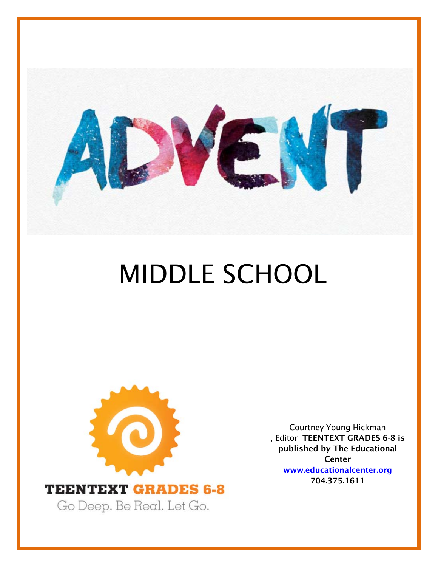

# MIDDLE SCHOOL



Courtney Young Hickman , Editor TEENTEXT GRADES 6-8 is published by The Educational **Center** www.educationalcenter.org [704.375.1611](http://www.educationalcenter.org/)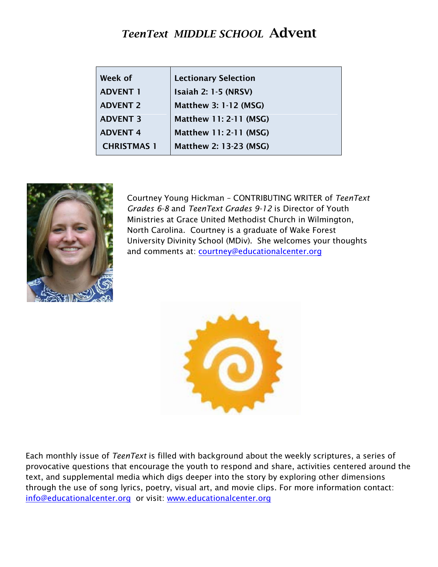# *TeenText MIDDLE SCHOOL* Advent

| Week of            | <b>Lectionary Selection</b>   |
|--------------------|-------------------------------|
| <b>ADVENT 1</b>    | <b>Isaiah 2: 1-5 (NRSV)</b>   |
| <b>ADVENT 2</b>    | <b>Matthew 3: 1-12 (MSG)</b>  |
| <b>ADVENT 3</b>    | Matthew 11: 2-11 (MSG)        |
| <b>ADVENT 4</b>    | Matthew 11: 2-11 (MSG)        |
| <b>CHRISTMAS 1</b> | <b>Matthew 2: 13-23 (MSG)</b> |



Courtney Young Hickman – CONTRIBUTING WRITER of *TeenText Grades 6-8* and *TeenText Grades 9-12* is Director of Youth Ministries at Grace United Methodist Church in Wilmington, North Carolina. Courtney is a graduate of Wake Forest University Divinity School (MDiv). She welcomes your thoughts and comments at: **courtney@educationalcenter.org** 



Each monthly issue of *TeenText* is filled with background about the weekly scriptures, a series of provocative questions that encourage the youth to respond and share, activities centered around the text, and supplemental media which digs deeper into the story by exploring other dimensions through the use of song lyrics, poetry, visual art, and movie clips. For more information contact: [info@educationalcenter.org](mailto:info@educationalcenter.org) or visit: [www.educationalcenter.org](http://www.educationalcenter.org/)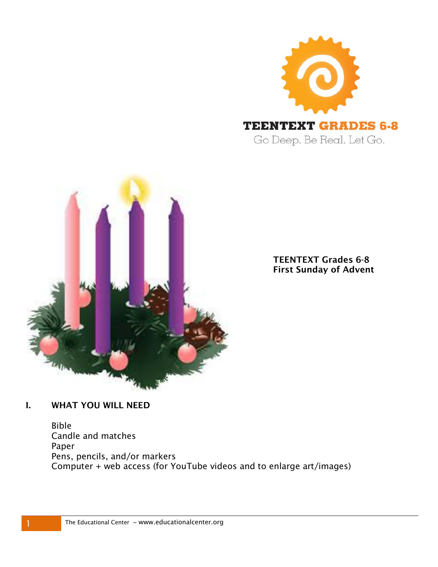



TEENTEXT Grades 6-8 First Sunday of Advent

#### I. WHAT YOU WILL NEED

Bible Candle and matches Paper Pens, pencils, and/or markers Computer + web access (for YouTube videos and to enlarge art/images)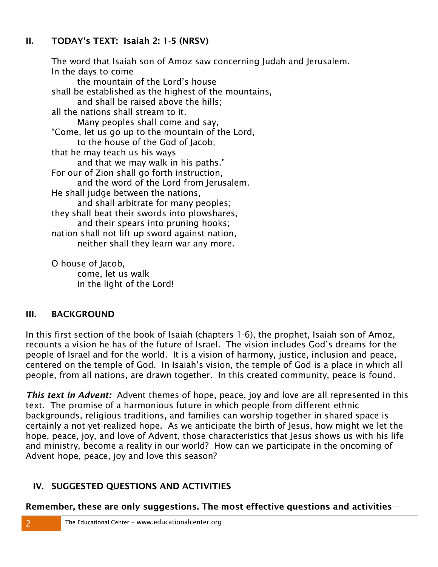#### II. TODAY's TEXT: Isaiah 2: 1-5 (NRSV)

The word that Isaiah son of Amoz saw concerning Judah and Jerusalem. In the days to come the mountain of the Lord's house shall be established as the highest of the mountains, and shall be raised above the hills; all the nations shall stream to it. Many peoples shall come and say, "Come, let us go up to the mountain of the Lord, to the house of the God of Jacob; that he may teach us his ways and that we may walk in his paths." For our of Zion shall go forth instruction, and the word of the Lord from Jerusalem. He shall judge between the nations, and shall arbitrate for many peoples; they shall beat their swords into plowshares, and their spears into pruning hooks; nation shall not lift up sword against nation, neither shall they learn war any more. O house of Jacob,

come, let us walk in the light of the Lord!

#### III. BACKGROUND

In this first section of the book of Isaiah (chapters 1-6), the prophet, Isaiah son of Amoz, recounts a vision he has of the future of Israel. The vision includes God's dreams for the people of Israel and for the world. It is a vision of harmony, justice, inclusion and peace, centered on the temple of God. In Isaiah's vision, the temple of God is a place in which all people, from all nations, are drawn together. In this created community, peace is found.

*This text in Advent:* Advent themes of hope, peace, joy and love are all represented in this text. The promise of a harmonious future in which people from different ethnic backgrounds, religious traditions, and families can worship together in shared space is certainly a not-yet-realized hope. As we anticipate the birth of Jesus, how might we let the hope, peace, joy, and love of Advent, those characteristics that Jesus shows us with his life and ministry, become a reality in our world? How can we participate in the oncoming of Advent hope, peace, joy and love this season?

#### IV. SUGGESTED QUESTIONS AND ACTIVITIES

Remember, these are only suggestions. The most effective questions and activities—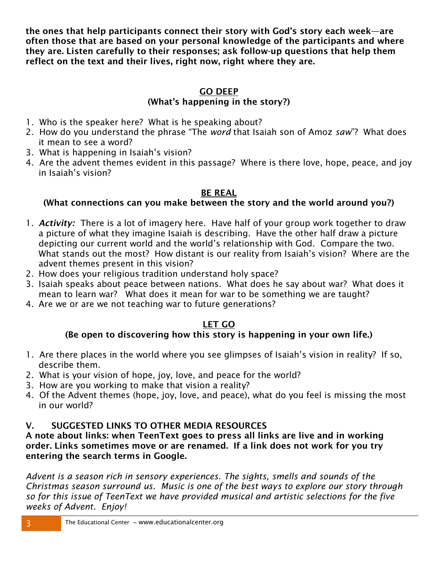the ones that help participants connect their story with God's story each week—are often those that are based on your personal knowledge of the participants and where they are. Listen carefully to their responses; ask follow-up questions that help them reflect on the text and their lives, right now, right where they are.

# GO DEEP

#### (What's happening in the story?)

- 1. Who is the speaker here? What is he speaking about?
- 2. How do you understand the phrase "The *word* that Isaiah son of Amoz *saw*"? What does it mean to see a word?
- 3. What is happening in Isaiah's vision?
- 4. Are the advent themes evident in this passage? Where is there love, hope, peace, and joy in Isaiah's vision?

#### BE REAL

### (What connections can you make between the story and the world around you?)

- 1. *Activity:* There is a lot of imagery here. Have half of your group work together to draw a picture of what they imagine Isaiah is describing. Have the other half draw a picture depicting our current world and the world's relationship with God. Compare the two. What stands out the most? How distant is our reality from Isaiah's vision? Where are the advent themes present in this vision?
- 2. How does your religious tradition understand holy space?
- 3. Isaiah speaks about peace between nations. What does he say about war? What does it mean to learn war? What does it mean for war to be something we are taught?
- 4. Are we or are we not teaching war to future generations?

# LET GO

# (Be open to discovering how this story is happening in your own life.)

- 1. Are there places in the world where you see glimpses of Isaiah's vision in reality? If so, describe them.
- 2. What is your vision of hope, joy, love, and peace for the world?
- 3. How are you working to make that vision a reality?
- 4. Of the Advent themes (hope, joy, love, and peace), what do you feel is missing the most in our world?

# V. SUGGESTED LINKS TO OTHER MEDIA RESOURCES

#### A note about links: when TeenText goes to press all links are live and in working order. Links sometimes move or are renamed. If a link does not work for you try entering the search terms in Google.

*Advent is a season rich in sensory experiences. The sights, smells and sounds of the Christmas season surround us. Music is one of the best ways to explore our story through so for this issue of TeenText we have provided musical and artistic selections for the five weeks of Advent. Enjoy!*